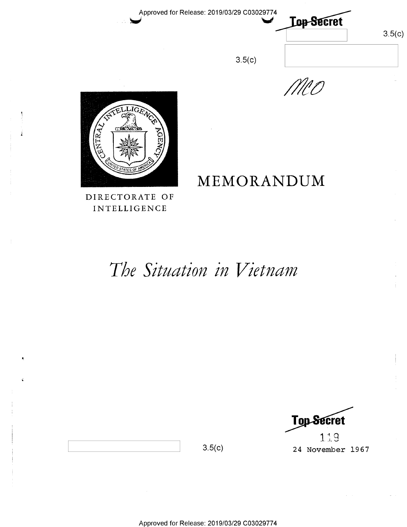Approved for Release: 2019/03/29 C03029774

**Lop-Secret** 



MCO



DIRECTORATE OF **INTELLIGENCE** 

# MEMORANDUM

 $3.5(c)$ 

The Situation in Vietnam

**Top-Secret** 119 24 November 1967

 $3.5(c)$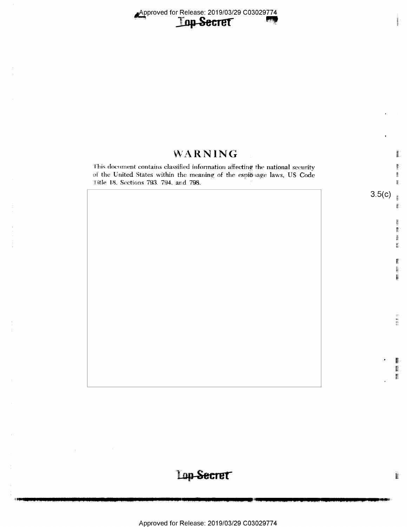### WARNING

This document contains classified information affecting the national security uf the United States within the meaning of the respibnage laws, US Code iitie I8. Sections 793. 794. and 798.

== 2\* **q** 

eee

**With** 

ending

E? W

1 izm. r

 $3.5(c)$ 

u 闦 È. iii.

v 4

麝 E.  $\overline{\mathbf{E}}$ 

# Lop-Secret

E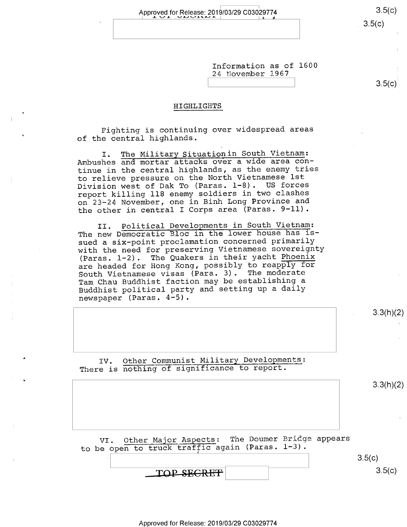Approved for Release: 2019/03/29 C03029774 3.5(C)

 $3.5(c)$ 

3.3(h)(2)

Information as of 1600 24 November 1967

#### HIGHLIGHTS \_Z.i\_.-\_.-\_i-Q-.

Fighting is continuing over widespread areas of the central highlands.

I. The Military Situationin South Vietnam: Ambushes and mortar attacks over a wide area continue in the central highlands, as the enemy tries to relieve pressure on the North Vietnamese lst Division west of Dak To (Paras. 1-8). US forces report killing 118 enemy soldiers in two clashes on 23-24 November, one in Binh Long Province and the other in central I Corps area (Paras. 9-11).

II. Political Developments in South Vietnam: The new Democratic Bloc in the lower house has issued a six-point proclamation concerned primarily with the need for preserving Vietnamese sovereignty (Paras. 1-2). The Quakers in their yacht Phoenix are headed for Hong Kong, possibly to reapply for South Vietnamese visas (Para. 3). The moderate Tam Chau Buddhist faction may be establishing <sup>a</sup> Buddhist political party and setting up a daily newspaper (Paras. 4-5).

| IV. Other Communist Military Developments:<br>There is nothing of significance to report. |  |  |           |
|-------------------------------------------------------------------------------------------|--|--|-----------|
|                                                                                           |  |  | 3.3(h)(2) |
|                                                                                           |  |  |           |
|                                                                                           |  |  |           |
|                                                                                           |  |  |           |
|                                                                                           |  |  |           |
| VI. Other Major Aspects: The Doumer Bridge appears                                        |  |  |           |
| to be open to truck traffic again (Paras. 1-3).                                           |  |  | 3.5(c)    |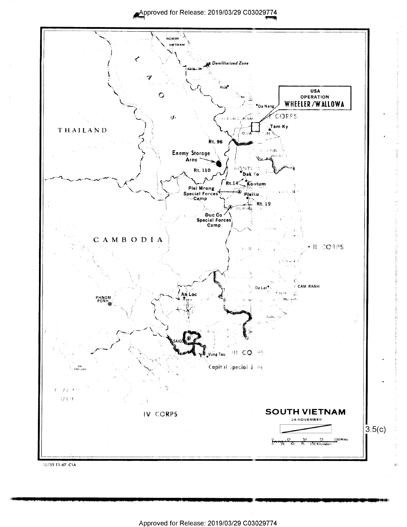Approved for Release: 2019/03/29 C03029774

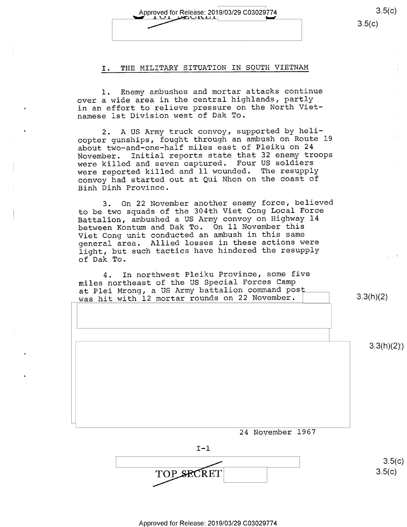Approved for Release: 2019/03/29 C03029774

#### I. THE MILITARY SITUATION IN SOUTH VIETNAM

l. Enemy ambushes and mortar attacks continue over a wide area in the central highlands, partly in an effort to relieve pressure on the North Vietnamese lst Division west of Dak To.

2. A US Army truck convoy, supported by helicopter gunships, fought through an ambush on Route l9 about two-and-one-half miles east of Pleiku on 24<br>November. Initial reports state that 32 enemy tre Initial reports state that 32 enemy troops were killed and seven captured. Four US soldiers were reported killed and ll wounded. The resupply convoy had started out at Qui Nhon on the coast of Binh Dinh Province.

3. On 22 November another enemy force, believed to be two squads of the 304th Viet Cong Local Force Battalion, ambushed a US Army convoy on Highway l4 between Kontum and Dak To. On ll November this Viet Cong unit conducted an ambush in this same general area. Allied losses in these actions were light, but such tactics have hindered the resupply of Dak To.

4. In northwest Pleiku Province, some five miles northeast of the US Special Forces Camp at Plei Mrong, a US Army battalion command post<br>was hit with 12 mortar rounds on 22 November.

24 November l967  $3.3(h)(2)$  $3.3(h)(2)$ 



 $3.5(c)$  $3.5(c)$ 

 $3.5(c)$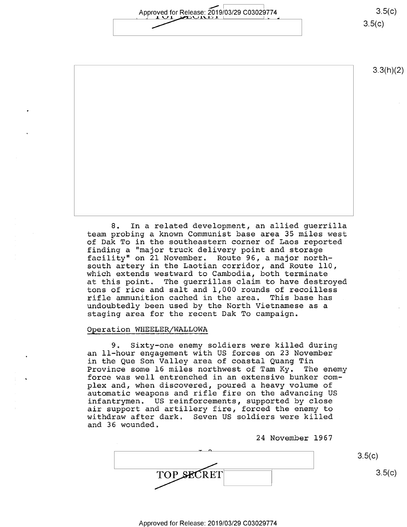Approved for Release: 2019/03/29 C03029774  $\frac{1}{2}$  is the momentum of  $\frac{1}{2}$ 

 $3.5(c)$  $3.5(c)$ 

3.3(h)(2)

8. In a related development, an allied guerrilla team probing a known Communist base area 35 miles west of Dak To in the southeastern corner of Laos reported finding a "major truck delivery point and storage facility" on 21 November. Route 96, a major north-<br>south artery in the Laotian corridor, and Route 110, which extends westward to Cambodia, both terminate at this point. The guerrillas claim to have destroyed tons of rice and salt and 1,000 rounds of recoilless rifle ammunition cached in the area. This base has undoubtedly been used by the North Vietnamese as a staging area for the recent Dak To campaign.

#### Operation WHEELER/WALLOWA

9. Sixty-one enemy soldiers were killed during an ll—hour engagement with US forces on 23 November in the Que Son Valley area of coastal Quang Tin<br>Province some 16 miles northwest of Tam Ky. The enemy Province some 16 miles northwest of Tam Ky. force was well entrenched in an extensive bunker complex and, when discovered, poured a heavy volume of automatic weapons and rifle fire on the advancing US infantrymen. US reinforcements, supported by close air support and artillery fire, forced the enemy to withdraw after dark, Seven US soldiers were killed and 36 wounded,

24 November 1967

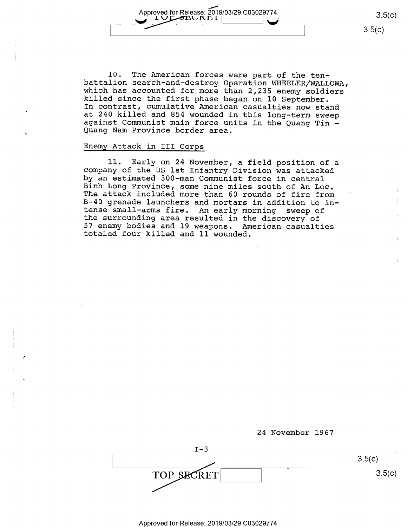Approved for Release: 2019/03/29 C03029774 3.5(c)<br>C-<sup>1</sup> UL OLUNLI <u>|</u><br>3.5(c)

10. The American forces were part of the ten-<br>battalion search-and-destroy Operation WHEELER/WALLOWA,<br>which has accounted for more than 2,235 enemy soldiers<br>killed since the first phase began on 10 September.<br>In contrast, Quang Nam Province border area.

#### Enemy Attack in III Corps

11. Early on 24 November, a field position of a<br>company of the US lst Infantry Division was attacked<br>by an estimated 300-man Communist force in central Binh Long Province, some nine miles south of An Loc.<br>The attack included more than 60 rounds of fire from<br>B-40 grenade launchers and mortars in addition to in-<br>tense small-arms fire. An early morning sweep of<br>the surroundi <sup>57</sup>enemy bodies and l9 weapons. American casualties totaled four killed and ll wounded.

24 November l967

 $I-3$ ' v ' TOP SECRET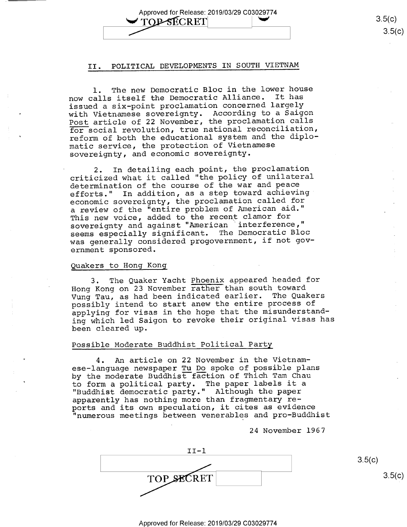Approved for Release: 2019/03/29 C03029774<br>
TOP-SECRET
3.5(c)<br>
3.5(c) TOP SECRET 3.5(c)

#### II. POLITICAL DEVELOPMENTS IN SOUTH VIETNAM

l. The new Democratic Bloc in the lower house now calls itself the Democratic Alliance. It has issued a six-point proclamation concerned largely with Vietnamese sovereignty. According to a Saigon Post article of 22 November, the proclamation calls for social revolution, true national reconciliation, reform of both the educational system and the diplomatic service, the protection of Vietnamese sovereignty, and economic sovereignty.

2. In detailing each point, the proclamation criticized what it called "the policy of unilateral determination of the course of the war and peace efforts." In addition, as a step toward achieving' economic sovereignty, the proclamation called for a review of the "entire problem of American aid." This new voice, added to the recent clamor for sovereignty and against "American 'interference," seems especially significant. The Democratic Bloc was generally considered progovernment, if not government sponsored.

#### Quakers to Hong Kong

3. The Quaker Yacht Phoenix appeared headed for Hong Kong on 23 November rather than south toward Vung Tau, as had been indicated earlier. The Quakers possibly intend to start anew the entire process of applying for visas in the hope that the misunderstanding which led Saigon to revoke their original visas has been cleared up.

#### Possible Moderate Buddhist Political Party

4. An article on 22 November in the Vietnamese-language newspaper Tu Do spoke of possible plans by the moderate Buddhist faction of Thich Tam Chau to form a political party. The paper labels it a "Buddhist democratic party." Although the paper apparently has nothing more than fragmentary reports and its own speculation, it cites as evidence "numerous meetings between venerables and pro—Buddhist

24 November 1967

II-l  $\overline{\phantom{a}}$   $\overline{\phantom{a}}$   $\overline{\phantom{a}}$   $\overline{\phantom{a}}$   $\overline{\phantom{a}}$   $\overline{\phantom{a}}$   $\overline{\phantom{a}}$   $\overline{\phantom{a}}$   $\overline{\phantom{a}}$   $\overline{\phantom{a}}$   $\overline{\phantom{a}}$   $\overline{\phantom{a}}$   $\overline{\phantom{a}}$   $\overline{\phantom{a}}$   $\overline{\phantom{a}}$   $\overline{\phantom{a}}$   $\overline{\phantom{a}}$   $\overline{\phantom{a}}$   $\overline{\$ **TOP SECRET**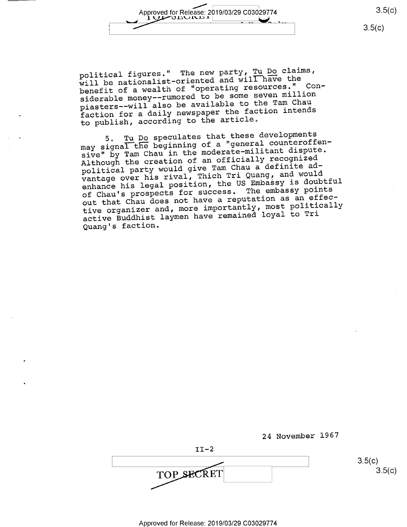Approved for Release: 2019/03/29 C03029774 3.5(c) w  $10$  $\mu$ 

political figures." The new party, Tu Do claims, will be nationalist-oriented and will have the benefit of a wealth of "operating resources." Considerable money——rumored to be some seven million piasters——will also be available to the Tam Chau faction for a daily newspaper the faction intends to publish, according to the article,

5, Tu Do speculates that these developments<br>icnal the beginning of a "general counteroffe may signal the beginning of a "general counteroffensive" by Tam Chau in the moderate-militant dispute. Although the creation of an officially recognized political party would give Tam Chau a definite advantage over his rival, Thich Tri Quang, and would enhance his legal position, the US Embassy is doubtful of Chau's prospects for success. The embassy points out that Chau does not have a reputation as an effective organizer and, more importantly, most politically active Buddhist laymen have remained loyal to Tri Quang's faction.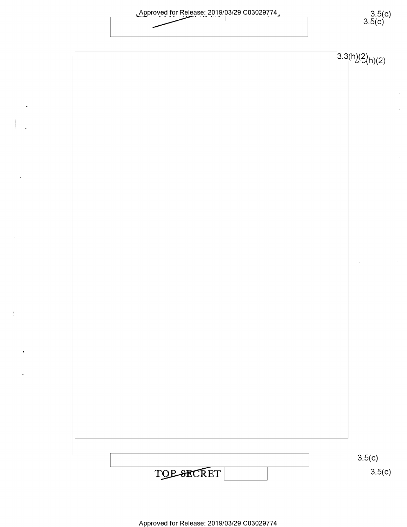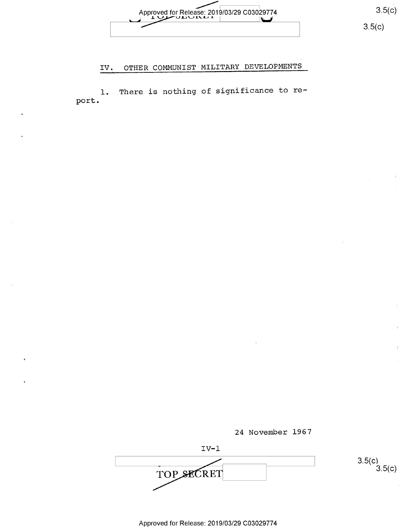Approved for Release: 2019/03/29 C03029774 3.5(c)<br>  $3.5(c)$ 

## IV. OTHER COMMUNIST'MILITARY DEVELOPMENTS

port l. There is nothing of significance to re-



 $IV-1$  $\frac{2 \times 1}{\sqrt{2}}$  3.5(c)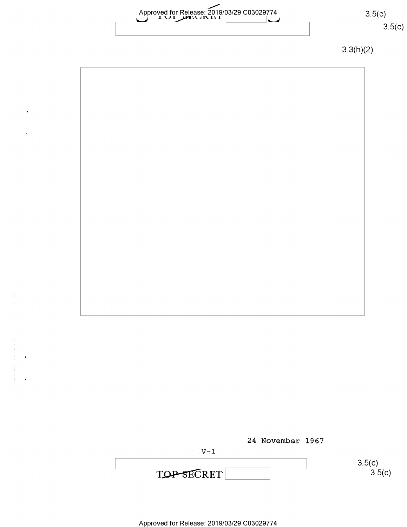Approved for Release: 2019/03/29 C03029774 3.5(C)

# $3.5(c)$  $3.5(c)$

3.3(h)(2)



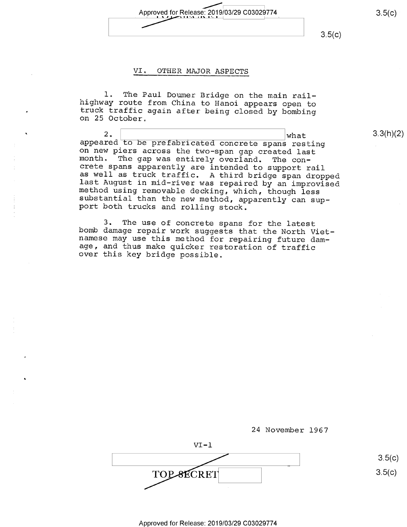$\sim$ Approved for Release: 2019/03/29 C03029/74  $\Box$ 

 $3.5(c)$ 

#### VI. OTHER MAJOR ASPECTS

l. The Paul Doumer Bridge on the main rail-<br>highway route from China to Hanoi appears open to<br>truck traffic again after being closed by bombing<br>on 25 October.

2. What 3.3(h)(2)<br>appeared to be prefabricated concrete spans resting<br>on new piers across the two-span gap created last<br>month. The gap was entirely overland. The con-<br>crete spans apparently are intended to support rail<br>as

3. The use of concrete spans for the latest<br>bomb damage repair work suggests that the North Viet-<br>namese may use this method for repairing future dam-<br>age, and thus make quicker restoration of traffic<br>over this key bridge

24 November 1967

 $VI - 1$ VI-1 "

 $3.5(c)$  $3.5(c)$